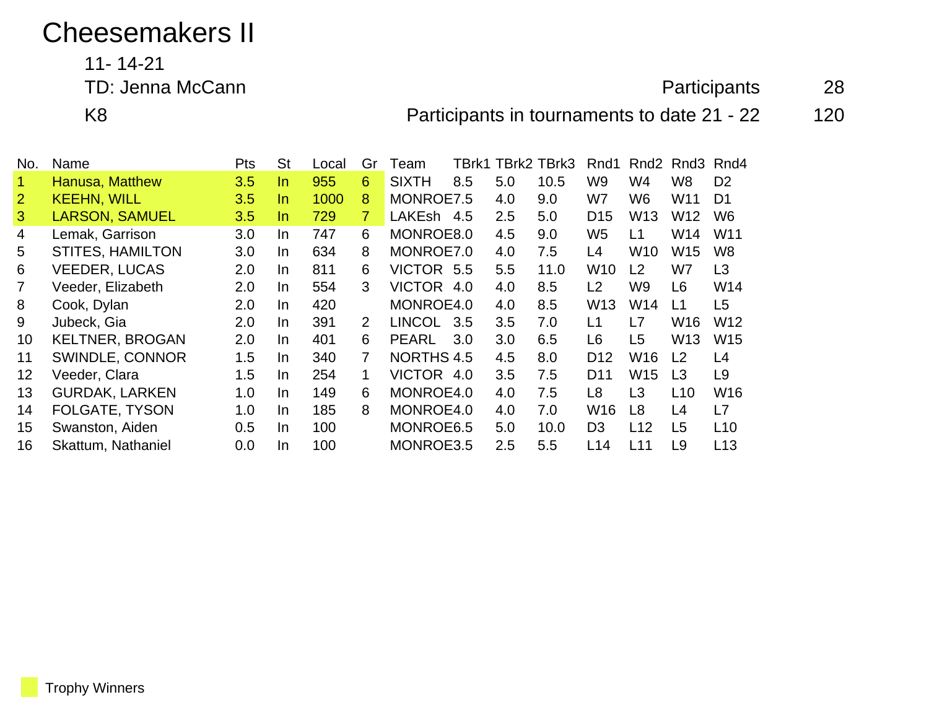## Cheesemakers II

11- 14-21

## TD: Jenna McCann 28

K8 **Participants in tournaments to date 21 - 22** 120

| No.            | Name                    | <b>Pts</b> | <b>St</b> | Local | Gr             | Team              |     |     | TBrk1 TBrk2 TBrk3 | Rnd1            | Rnd <sub>2</sub> | Rnd3            | Rnd4            |
|----------------|-------------------------|------------|-----------|-------|----------------|-------------------|-----|-----|-------------------|-----------------|------------------|-----------------|-----------------|
|                | Hanusa, Matthew         | 3.5        | In.       | 955   | 6              | <b>SIXTH</b>      | 8.5 | 5.0 | 10.5              | W9              | W4               | W <sub>8</sub>  | D <sub>2</sub>  |
| $\overline{2}$ | <b>KEEHN, WILL</b>      | 3.5        | In.       | 1000  | 8              | MONROE7.5         |     | 4.0 | 9.0               | W7              | W6               | W <sub>11</sub> | D <sub>1</sub>  |
| 3              | <b>LARSON, SAMUEL</b>   | 3.5        | In.       | 729   | $\overline{7}$ | LAKEsh            | 4.5 | 2.5 | 5.0               | D <sub>15</sub> | W <sub>13</sub>  | W <sub>12</sub> | W <sub>6</sub>  |
| 4              | Lemak, Garrison         | 3.0        | In.       | 747   | 6              | MONROE8.0         |     | 4.5 | 9.0               | W <sub>5</sub>  | L1               | W14             | W <sub>11</sub> |
| 5              | <b>STITES, HAMILTON</b> | 3.0        | In.       | 634   | 8              | MONROE7.0         |     | 4.0 | 7.5               | L4              | W10              | W15             | W <sub>8</sub>  |
| 6              | <b>VEEDER, LUCAS</b>    | 2.0        | In.       | 811   | 6              | <b>VICTOR</b>     | 5.5 | 5.5 | 11.0              | W <sub>10</sub> | L <sub>2</sub>   | W7              | L3              |
|                | Veeder, Elizabeth       | 2.0        | In.       | 554   | 3              | VICTOR 4.0        |     | 4.0 | 8.5               | L2              | W9               | L <sub>6</sub>  | W14             |
| 8              | Cook, Dylan             | 2.0        | In.       | 420   |                | MONROE4.0         |     | 4.0 | 8.5               | W <sub>13</sub> | W14              | L1              | L <sub>5</sub>  |
| 9              | Jubeck, Gia             | 2.0        | In.       | 391   | 2              | <b>LINCOL</b>     | 3.5 | 3.5 | 7.0               | L1              | L7               | W16             | W12             |
| 10             | <b>KELTNER, BROGAN</b>  | 2.0        | In.       | 401   | 6              | <b>PEARL</b>      | 3.0 | 3.0 | 6.5               | L6              | L <sub>5</sub>   | W <sub>13</sub> | W <sub>15</sub> |
| 11             | SWINDLE, CONNOR         | 1.5        | In.       | 340   | $\overline{7}$ | <b>NORTHS 4.5</b> |     | 4.5 | 8.0               | D <sub>12</sub> | W16              | L <sub>2</sub>  | L4              |
| 12             | Veeder, Clara           | 1.5        | In.       | 254   | 1              | VICTOR 4.0        |     | 3.5 | 7.5               | D11             | W <sub>15</sub>  | L <sub>3</sub>  | L <sub>9</sub>  |
| 13             | <b>GURDAK, LARKEN</b>   | 1.0        | In.       | 149   | 6              | MONROE4.0         |     | 4.0 | 7.5               | L8              | L <sub>3</sub>   | L <sub>10</sub> | W16             |
| 14             | <b>FOLGATE, TYSON</b>   | 1.0        | In.       | 185   | 8              | MONROE4.0         |     | 4.0 | 7.0               | W <sub>16</sub> | L8               | L4              | L7              |
| 15             | Swanston, Aiden         | 0.5        | In.       | 100   |                | MONROE6.5         |     | 5.0 | 10.0              | D <sub>3</sub>  | L12              | L <sub>5</sub>  | L10             |
| 16             | Skattum, Nathaniel      | 0.0        | In.       | 100   |                | MONROE3.5         |     | 2.5 | 5.5               | L14             | L11              | L <sub>9</sub>  | L13             |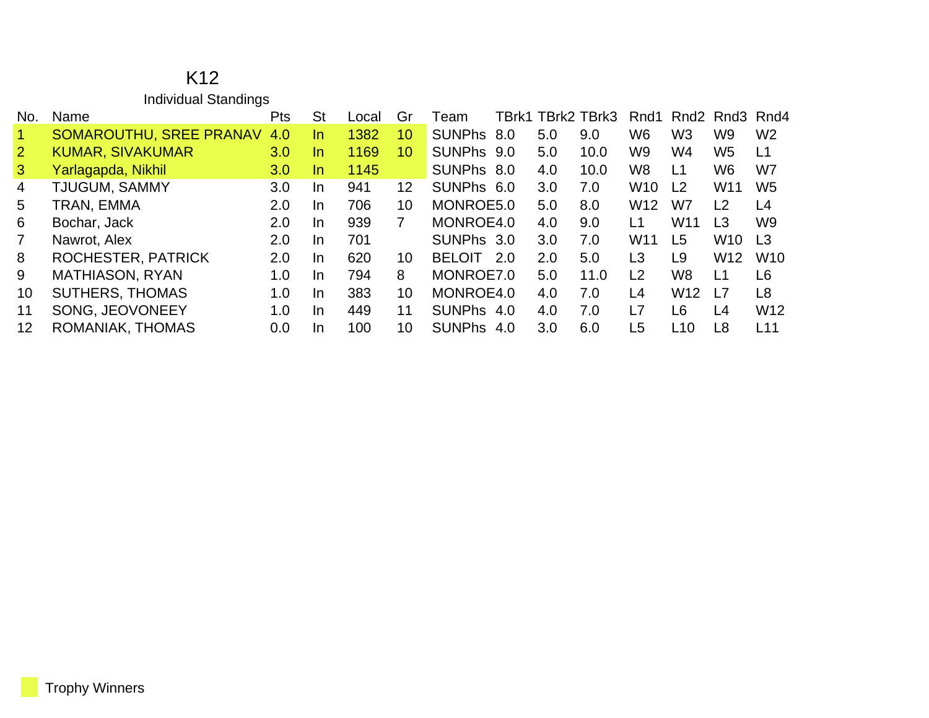## K12 Individual Standings

| No.            | Name                           | <b>Pts</b> | <b>St</b> | _ocal | Gr | ⊺eam          | TBrk1 |     | TBrk2 TBrk3 | Rnd1            |                 | Rnd <sub>2</sub> Rnd <sub>3</sub> Rnd <sub>4</sub> |                 |
|----------------|--------------------------------|------------|-----------|-------|----|---------------|-------|-----|-------------|-----------------|-----------------|----------------------------------------------------|-----------------|
| $\vert$ 1      | <b>SOMAROUTHU, SREE PRANAV</b> | 4.0        | In.       | 1382  | 10 | <b>SUNPhs</b> | 8.0   | 5.0 | 9.0         | W <sub>6</sub>  | W <sub>3</sub>  | W9                                                 | W <sub>2</sub>  |
| $\overline{2}$ | <b>KUMAR, SIVAKUMAR</b>        | 3.0        | In.       | 1169  | 10 | SUNPhs 9.0    |       | 5.0 | 10.0        | W9              | W4              | W <sub>5</sub>                                     | L1              |
| $\mathbf{3}$   | Yarlagapda, Nikhil             | 3.0        | In.       | 1145  |    | SUNPhs 8.0    |       | 4.0 | 10.0        | W <sub>8</sub>  | L <sub>1</sub>  | W6                                                 | W7              |
| $\overline{4}$ | TJUGUM, SAMMY                  | 3.0        | In.       | 941   | 12 | SUNPhs 6.0    |       | 3.0 | 7.0         | <b>W10</b>      | L <sub>2</sub>  | W11                                                | W <sub>5</sub>  |
| 5              | TRAN, EMMA                     | 2.0        | In.       | 706   | 10 | MONROE5.0     |       | 5.0 | 8.0         | W <sub>12</sub> | W7              | L2                                                 | L4              |
| 6              | Bochar, Jack                   | 2.0        | In.       | 939   |    | MONROE4.0     |       | 4.0 | 9.0         | L1              | W <sub>11</sub> | L <sub>3</sub>                                     | W <sub>9</sub>  |
| $\overline{7}$ | Nawrot, Alex                   | 2.0        | In.       | 701   |    | SUNPhs 3.0    |       | 3.0 | 7.0         | W <sub>11</sub> | L <sub>5</sub>  | W <sub>10</sub>                                    | L <sub>3</sub>  |
| 8              | ROCHESTER, PATRICK             | 2.0        | In.       | 620   | 10 | <b>BELOIT</b> | 2.0   | 2.0 | 5.0         | L <sub>3</sub>  | L9              | W <sub>12</sub>                                    | <b>W10</b>      |
| 9              | <b>MATHIASON, RYAN</b>         | 1.0        | In.       | 794   | 8  | MONROE7.0     |       | 5.0 | 11.0        | L2              | W8              | L <sub>1</sub>                                     | L6              |
| 10             | <b>SUTHERS, THOMAS</b>         | 1.0        | In.       | 383   | 10 | MONROE4.0     |       | 4.0 | 7.0         | L4              | W <sub>12</sub> | $\overline{17}$                                    | L <sub>8</sub>  |
| 11             | SONG, JEOVONEEY                | 1.0        | In.       | 449   | 11 | SUNPhs 4.0    |       | 4.0 | 7.0         | L7              | L <sub>6</sub>  | L4                                                 | W <sub>12</sub> |
| 12             | ROMANIAK, THOMAS               | 0.0        | In.       | 100   | 10 | <b>SUNPhs</b> | 4.0   | 3.0 | 6.0         | L <sub>5</sub>  | L10             | L <sub>8</sub>                                     | L11             |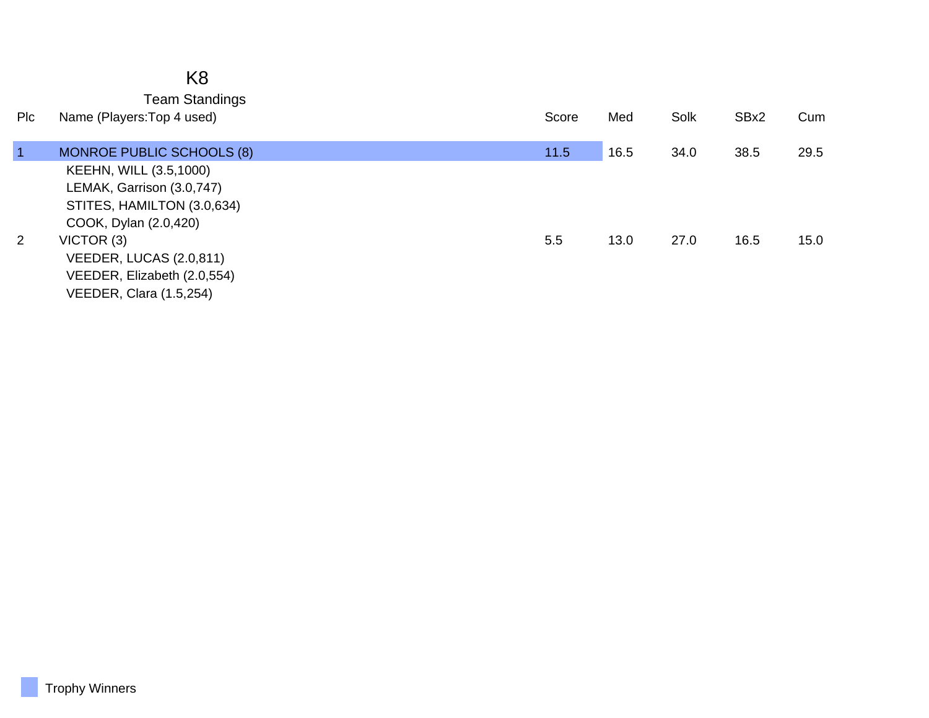|                | K <sub>8</sub><br><b>Team Standings</b>                                                                    |       |      |      |      |      |
|----------------|------------------------------------------------------------------------------------------------------------|-------|------|------|------|------|
| Plc            | Name (Players: Top 4 used)                                                                                 | Score | Med  | Solk | SBx2 | Cum  |
| $\blacksquare$ | <b>MONROE PUBLIC SCHOOLS (8)</b>                                                                           | 11.5  | 16.5 | 34.0 | 38.5 | 29.5 |
|                | KEEHN, WILL (3.5,1000)<br>LEMAK, Garrison (3.0,747)<br>STITES, HAMILTON (3.0,634)<br>COOK, Dylan (2.0,420) |       |      |      |      |      |
| $\overline{2}$ | VICTOR (3)<br>VEEDER, LUCAS (2.0,811)<br>VEEDER, Elizabeth (2.0,554)<br><b>VEEDER, Clara (1.5,254)</b>     | 5.5   | 13.0 | 27.0 | 16.5 | 15.0 |